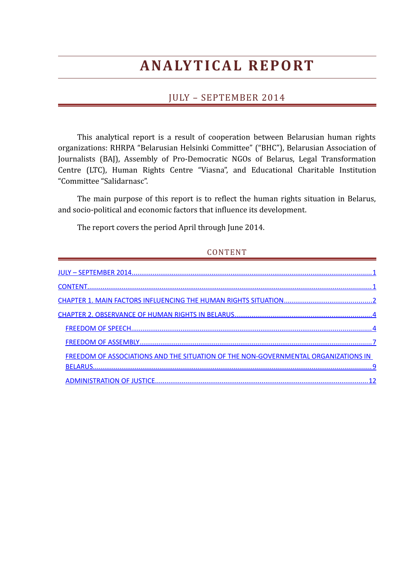# **A NA LY T I C A L R E PO RT**

# <span id="page-0-1"></span>JULY – SEPTEMBER 2014

This analytical report is a result of cooperation between Belarusian human rights organizations: RHRPA "Belarusian Helsinki Committee" ("BHC"), Belarusian Association of Journalists (BAJ), Assembly of Pro-Democratic NGOs of Belarus, Legal Transformation Centre (LTC), Human Rights Centre "Viasna", and Educational Charitable Institution "Committee "Salidarnasc".

The main purpose of this report is to reflect the human rights situation in Belarus, and socio-political and economic factors that influence its development.

The report covers the period April through June 2014.

# <span id="page-0-0"></span>CONTENT

| <b>FREEDOM OF ASSOCIATIONS AND THE SITUATION OF THE NON-GOVERNMENTAL ORGANIZATIONS IN</b> |  |
|-------------------------------------------------------------------------------------------|--|
|                                                                                           |  |
|                                                                                           |  |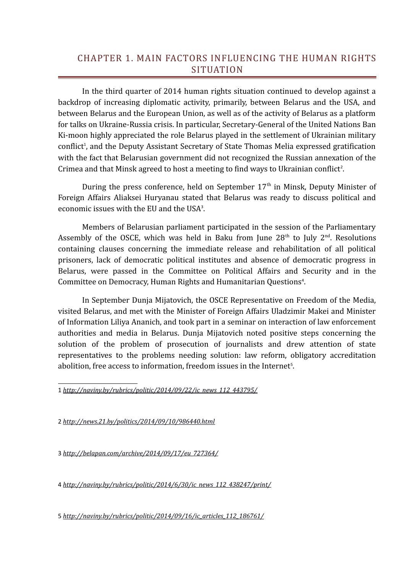# <span id="page-1-0"></span>CHAPTER 1. MAIN FACTORS INFLUENCING THE HUMAN RIGHTS SITUATION

In the third quarter of 2014 human rights situation continued to develop against a backdrop of increasing diplomatic activity, primarily, between Belarus and the USA, and between Belarus and the European Union, as well as of the activity of Belarus as a platform for talks on Ukraine-Russia crisis. In particular, Secretary-General of the United Nations Ban Ki-moon highly appreciated the role Belarus played in the settlement of Ukrainian military conflict<sup>[1](#page-1-1)</sup>, and the Deputy Assistant Secretary of State Thomas Melia expressed gratification with the fact that Belarusian government did not recognized the Russian annexation of the Crimea and that Minsk agreed to host a meeting to find ways to Ukrainian conflict<sup>[2](#page-1-2)</sup>.

During the press conference, held on September  $17<sup>th</sup>$  in Minsk, Deputy Minister of Foreign Affairs Aliaksei Huryanau stated that Belarus was ready to discuss political and economic issues with the EU and the USA<sup>[3](#page-1-3)</sup>.

Members of Belarusian parliament participated in the session of the Parliamentary Assembly of the OSCE, which was held in Baku from June  $28<sup>th</sup>$  to July  $2<sup>nd</sup>$ . Resolutions containing clauses concerning the immediate release and rehabilitation of all political prisoners, lack of democratic political institutes and absence of democratic progress in Belarus, were passed in the Committee on Political Affairs and Security and in the Committee on Democracy, Human Rights and Humanitarian Questions<sup>[4](#page-1-4)</sup>.

In September Dunja Mijatovich, the OSCE Representative on Freedom of the Media, visited Belarus, and met with the Minister of Foreign Affairs Uladzimir Makei and Minister of Information Liliya Ananich, and took part in a seminar on interaction of law enforcement authorities and media in Belarus. Dunja Mijatovich noted positive steps concerning the solution of the problem of prosecution of journalists and drew attention of state representatives to the problems needing solution: law reform, obligatory accreditation abolition, free access to information, freedom issues in the Internet<sup>[5](#page-1-5)</sup>.

<span id="page-1-1"></span>1 *[http://naviny.by/rubrics/politic/2014/09/22/ic\\_news\\_112\\_443795/](http://naviny.by/rubrics/politic/2014/09/22/ic_news_112_443795/)*

<span id="page-1-2"></span>2 *<http://news.21.by/politics/2014/09/10/986440.html>*

<span id="page-1-3"></span>3 *[http://belapan.com/archive/2014/09/17/eu\\_727364/](http://belapan.com/archive/2014/09/17/eu_727364/)*

<span id="page-1-4"></span>4 *[http://naviny.by/rubrics/politic/2014/6/30/ic\\_news\\_112\\_438247/print/](http://naviny.by/rubrics/politic/2014/6/30/ic_news_112_438247/print/)*

<span id="page-1-5"></span>5 *[http://naviny.by/rubrics/politic/2014/09/16/ic\\_articles\\_112\\_186761/](http://naviny.by/rubrics/politic/2014/09/16/ic_articles_112_186761/)*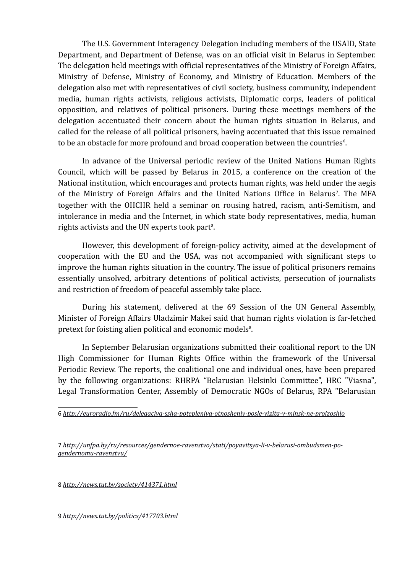The U.S. Government Interagency Delegation including members of the USAID, State Department, and Department of Defense, was on an official visit in Belarus in September. The delegation held meetings with official representatives of the Ministry of Foreign Affairs, Ministry of Defense, Ministry of Economy, and Ministry of Education. Members of the delegation also met with representatives of civil society, business community, independent media, human rights activists, religious activists, Diplomatic corps, leaders of political opposition, and relatives of political prisoners. During these meetings members of the delegation accentuated their concern about the human rights situation in Belarus, and called for the release of all political prisoners, having accentuated that this issue remained to be an obstacle for more profound and broad cooperation between the countries<sup>[6](#page-2-0)</sup>.

In advance of the Universal periodic review of the United Nations Human Rights Council, which will be passed by Belarus in 2015, a conference on the creation of the National institution, which encourages and protects human rights, was held under the aegis of the Ministry of Foreign Affairs and the United Nations Office in Belarus<sup>[7](#page-2-1)</sup>. The MFA together with the OHCHR held a seminar on rousing hatred, racism, anti-Semitism, and intolerance in media and the Internet, in which state body representatives, media, human rights activists and the UN experts took part<sup>[8](#page-2-2)</sup>.

However, this development of foreign-policy activity, aimed at the development of cooperation with the EU and the USA, was not accompanied with significant steps to improve the human rights situation in the country. The issue of political prisoners remains essentially unsolved, arbitrary detentions of political activists, persecution of journalists and restriction of freedom of peaceful assembly take place.

During his statement, delivered at the 69 Session of the UN General Assembly, Minister of Foreign Affairs Uladzimir Makei said that human rights violation is far-fetched pretext for foisting alien political and economic models<sup>[9](#page-2-3)</sup>.

In September Belarusian organizations submitted their coalitional report to the UN High Commissioner for Human Rights Office within the framework of the Universal Periodic Review. The reports, the coalitional one and individual ones, have been prepared by the following organizations: RHRPA "Belarusian Helsinki Committee", HRC "Viasna", Legal Transformation Center, Assembly of Democratic NGOs of Belarus, RPA "Belarusian

<span id="page-2-1"></span>7 *[http://unfpa.by/ru/resources/gendernoe-ravenstvo/stati/poyavitsya-li-v-belarusi-ombudsmen-po](http://unfpa.by/ru/resources/gendernoe-ravenstvo/stati/poyavitsya-li-v-belarusi-ombudsmen-po-gendernomu-ravenstvu/)[gendernomu-ravenstvu/](http://unfpa.by/ru/resources/gendernoe-ravenstvo/stati/poyavitsya-li-v-belarusi-ombudsmen-po-gendernomu-ravenstvu/)*

<span id="page-2-2"></span>8 *<http://news.tut.by/society/414371.html>*

<span id="page-2-3"></span>9*<http://news.tut.by/politics/417703.html>*

<span id="page-2-0"></span><sup>6</sup> *<http://euroradio.fm/ru/delegaciya-ssha-potepleniya-otnosheniy-posle-vizita-v-minsk-ne-proizoshlo>*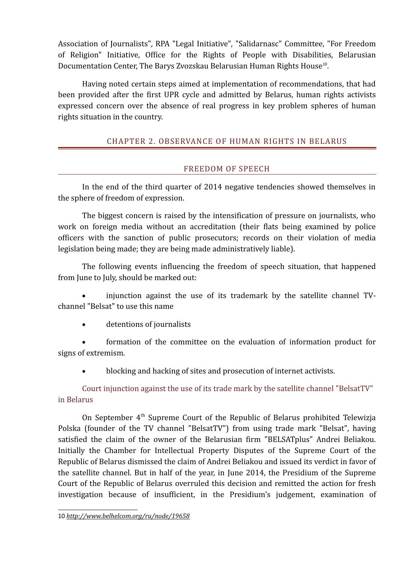Association of Journalists", RPA "Legal Initiative", "Salidarnasc" Committee, "For Freedom of Religion" Initiative, Office for the Rights of People with Disabilities, Belarusian Documentation Center, The Barys Zvozskau Belarusian Human Rights House<sup>[10](#page-3-2)</sup>.

Having noted certain steps aimed at implementation of recommendations, that had been provided after the first UPR cycle and admitted by Belarus, human rights activists expressed concern over the absence of real progress in key problem spheres of human rights situation in the country.

# <span id="page-3-1"></span>CHAPTER 2. OBSERVANCE OF HUMAN RIGHTS IN BELARUS

# <span id="page-3-0"></span>FREEDOM OF SPEECH

In the end of the third quarter of 2014 negative tendencies showed themselves in the sphere of freedom of expression.

The biggest concern is raised by the intensification of pressure on journalists, who work on foreign media without an accreditation (their flats being examined by police officers with the sanction of public prosecutors; records on their violation of media legislation being made; they are being made administratively liable).

The following events influencing the freedom of speech situation, that happened from June to July, should be marked out:

 injunction against the use of its trademark by the satellite channel TVchannel "Belsat" to use this name

detentions of journalists

 formation of the committee on the evaluation of information product for signs of extremism.

blocking and hacking of sites and prosecution of internet activists.

Court injunction against the use of its trade mark by the satellite channel "BelsatTV" in Belarus

<span id="page-3-2"></span>On September  $4<sup>th</sup>$  Supreme Court of the Republic of Belarus prohibited Telewizja Polska (founder of the TV channel "BelsatTV") from using trade mark "Belsat", having satisfied the claim of the owner of the Belarusian firm "BELSATplus" Andrei Beliakou. Initially the Chamber for Intellectual Property Disputes of the Supreme Court of the Republic of Belarus dismissed the claim of Andrei Beliakou and issued its verdict in favor of the satellite channel. But in half of the year, in June 2014, the Presidium of the Supreme Court of the Republic of Belarus overruled this decision and remitted the action for fresh investigation because of insufficient, in the Presidium's judgement, examination of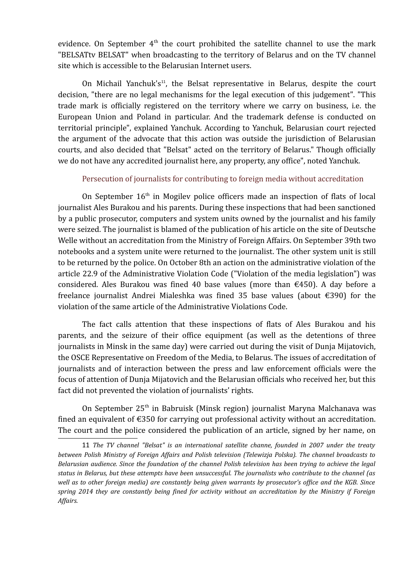evidence. On September  $4<sup>th</sup>$  the court prohibited the satellite channel to use the mark "BELSATtv BELSAT" when broadcasting to the territory of Belarus and on the TV channel site which is accessible to the Belarusian Internet users.

On Michail Yanchuk's<sup>[11](#page-4-0)</sup>, the Belsat representative in Belarus, despite the court decision, "there are no legal mechanisms for the legal execution of this judgement". "This trade mark is officially registered on the territory where we carry on business, i.e. the European Union and Poland in particular. And the trademark defense is conducted on territorial principle", explained Yanchuk. According to Yanchuk, Belarusian court rejected the argument of the advocate that this action was outside the jurisdiction of Belarusian courts, and also decided that "Belsat" acted on the territory of Belarus." Though officially we do not have any accredited journalist here, any property, any office", noted Yanchuk.

# Persecution of journalists for contributing to foreign media without accreditation

On September  $16<sup>th</sup>$  in Mogilev police officers made an inspection of flats of local journalist Ales Burakou and his parents. During these inspections that had been sanctioned by a public prosecutor, computers and system units owned by the journalist and his family were seized. The journalist is blamed of the publication of his article on the site of Deutsche Welle without an accreditation from the Ministry of Foreign Affairs. On September 39th two notebooks and a system unite were returned to the journalist. The other system unit is still to be returned by the police. On October 8th an action on the administrative violation of the article 22.9 of the Administrative Violation Code ("Violation of the media legislation") was considered. Ales Burakou was fined 40 base values (more than  $\epsilon$ 450). A day before a freelance journalist Andrei Mialeshka was fined 35 base values (about €390) for the violation of the same article of the Administrative Violations Code.

The fact calls attention that these inspections of flats of Ales Burakou and his parents, and the seizure of their office equipment (as well as the detentions of three journalists in Minsk in the same day) were carried out during the visit of Dunja Mijatovich, the OSCE Representative on Freedom of the Media, to Belarus. The issues of accreditation of journalists and of interaction between the press and law enforcement officials were the focus of attention of Dunja Mijatovich and the Belarusian officials who received her, but this fact did not prevented the violation of journalists' rights.

On September 25th in Babruisk (Minsk region) journalist Maryna Malchanava was fined an equivalent of €350 for carrying out professional activity without an accreditation. The court and the police considered the publication of an article, signed by her name, on

<span id="page-4-0"></span><sup>11</sup> *The TV channel "Belsat" is an international satellite channe, founded in 2007 under the treaty between Polish Ministry of Foreign Affairs and Polish television (Telewizja Polska). The channel broadcasts to Belarusian audience. Since the foundation of the channel Polish television has been trying to achieve the legal status in Belarus, but these attempts have been unsuccessful. The journalists who contribute to the channel (as well as to other foreign media) are constantly being given warrants by prosecutor's office and the KGB. Since spring 2014 they are constantly being fined for activity without an accreditation by the Ministry if Foreign Affairs.*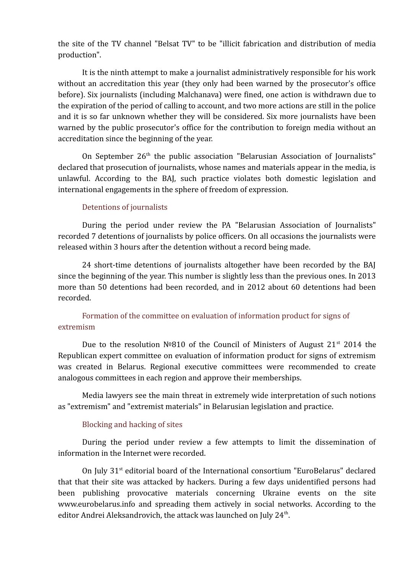the site of the TV channel "Belsat TV" to be "illicit fabrication and distribution of media production".

It is the ninth attempt to make a journalist administratively responsible for his work without an accreditation this year (they only had been warned by the prosecutor's office before). Six journalists (including Malchanava) were fined, one action is withdrawn due to the expiration of the period of calling to account, and two more actions are still in the police and it is so far unknown whether they will be considered. Six more journalists have been warned by the public prosecutor's office for the contribution to foreign media without an accreditation since the beginning of the year.

On September  $26<sup>th</sup>$  the public association "Belarusian Association of Journalists" declared that prosecution of journalists, whose names and materials appear in the media, is unlawful. According to the BAJ, such practice violates both domestic legislation and international engagements in the sphere of freedom of expression.

#### Detentions of journalists

During the period under review the PA "Belarusian Association of Journalists" recorded 7 detentions of journalists by police officers. On all occasions the journalists were released within 3 hours after the detention without a record being made.

24 short-time detentions of journalists altogether have been recorded by the BAJ since the beginning of the year. This number is slightly less than the previous ones. In 2013 more than 50 detentions had been recorded, and in 2012 about 60 detentions had been recorded.

# Formation of the committee on evaluation of information product for signs of extremism

Due to the resolution  $N<sup>o</sup>810$  of the Council of Ministers of August 21<sup>st</sup> 2014 the Republican expert committee on evaluation of information product for signs of extremism was created in Belarus. Regional executive committees were recommended to create analogous committees in each region and approve their memberships.

Media lawyers see the main threat in extremely wide interpretation of such notions as "extremism" and "extremist materials" in Belarusian legislation and practice.

#### Blocking and hacking of sites

During the period under review a few attempts to limit the dissemination of information in the Internet were recorded.

On July  $31<sup>st</sup>$  editorial board of the International consortium "EuroBelarus" declared that that their site was attacked by hackers. During a few days unidentified persons had been publishing provocative materials concerning Ukraine events on the site www.eurobelarus.info and spreading them actively in social networks. According to the editor Andrei Aleksandrovich, the attack was launched on July 24<sup>th</sup>.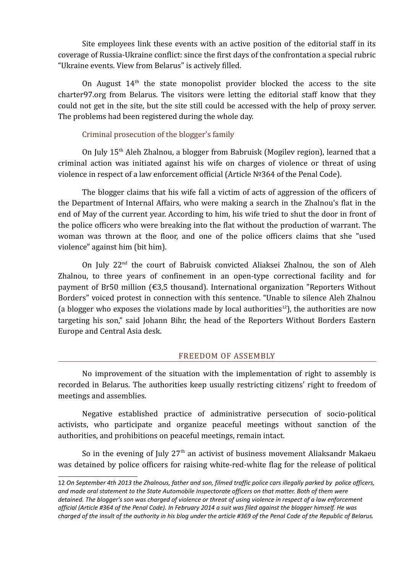Site employees link these events with an active position of the editorial staff in its coverage of Russia-Ukraine conflict: since the first days of the confrontation a special rubric "Ukraine events. View from Belarus" is actively filled.

On August  $14<sup>th</sup>$  the state monopolist provider blocked the access to the site charter97.org from Belarus. The visitors were letting the editorial staff know that they could not get in the site, but the site still could be accessed with the help of proxy server. The problems had been registered during the whole day.

# Criminal prosecution of the blogger's family

On July 15<sup>th</sup> Aleh Zhalnou, a blogger from Babruisk (Mogilev region), learned that a criminal action was initiated against his wife on charges of violence or threat of using violence in respect of a law enforcement official (Article №364 of the Penal Code).

The blogger claims that his wife fall a victim of acts of aggression of the officers of the Department of Internal Affairs, who were making a search in the Zhalnou's flat in the end of May of the current year. According to him, his wife tried to shut the door in front of the police officers who were breaking into the flat without the production of warrant. The woman was thrown at the floor, and one of the police officers claims that she "used violence" against him (bit him).

On July 22<sup>nd</sup> the court of Babruisk convicted Aliaksei Zhalnou, the son of Aleh Zhalnou, to three years of confinement in an open-type correctional facility and for payment of Br50 million (€3,5 thousand). International organization "Reporters Without Borders" voiced protest in connection with this sentence. "Unable to silence Aleh Zhalnou (a blogger who exposes the violations made by local authorities<sup>[12](#page-6-1)</sup>), the authorities are now targeting his son," said Johann Bihr, the head of the Reporters Without Borders Eastern Europe and Central Asia desk.

## <span id="page-6-0"></span>FREEDOM OF ASSEMBLY

No improvement of the situation with the implementation of right to assembly is recorded in Belarus. The authorities keep usually restricting citizens' right to freedom of meetings and assemblies.

Negative established practice of administrative persecution of socio-political activists, who participate and organize peaceful meetings without sanction of the authorities, and prohibitions on peaceful meetings, remain intact.

So in the evening of July 27<sup>th</sup> an activist of business movement Aliaksandr Makaeu was detained by police officers for raising white-red-white flag for the release of political

<span id="page-6-1"></span><sup>12</sup> *On September 4th 2013 the Zhalnous, father and son, filmed traffic police cars illegally parked by police officers, and made oral statement to the State Automobile Inspectorate officers on that matter. Both of them were detained. The blogger's son was charged of violence or threat of using violence in respect of a law enforcement official (Article #364 of the Penal Code). In February 2014 a suit was filed against the blogger himself. He was charged of the insult of the authority in his blog under the article #369 of the Penal Code of the Republic of Belarus.*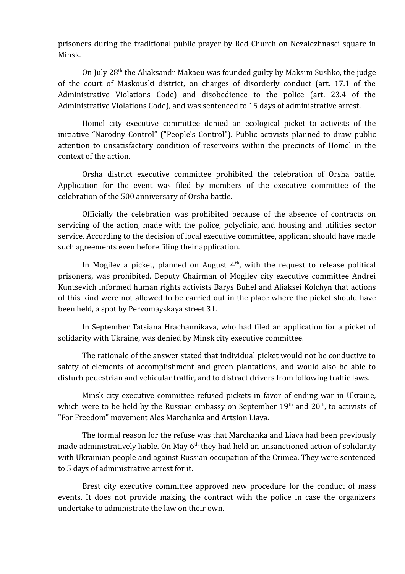prisoners during the traditional public prayer by Red Church on Nezalezhnasci square in Minsk.

On July 28th the Aliaksandr Makaeu was founded guilty by Maksim Sushko, the judge of the court of Maskouski district, on charges of disorderly conduct (art. 17.1 of the Administrative Violations Code) and disobedience to the police (art. 23.4 of the Administrative Violations Code), and was sentenced to 15 days of administrative arrest.

Homel city executive committee denied an ecological picket to activists of the initiative "Narodny Control" ("People's Control"). Public activists planned to draw public attention to unsatisfactory condition of reservoirs within the precincts of Homel in the context of the action.

Orsha district executive committee prohibited the celebration of Orsha battle. Application for the event was filed by members of the executive committee of the celebration of the 500 anniversary of Orsha battle.

Officially the celebration was prohibited because of the absence of contracts on servicing of the action, made with the police, polyclinic, and housing and utilities sector service. According to the decision of local executive committee, applicant should have made such agreements even before filing their application.

In Mogilev a picket, planned on August  $4<sup>th</sup>$ , with the request to release political prisoners, was prohibited. Deputy Chairman of Mogilev city executive committee Andrei Kuntsevich informed human rights activists Barys Buhel and Aliaksei Kolchyn that actions of this kind were not allowed to be carried out in the place where the picket should have been held, a spot by Pervomayskaya street 31.

In September Tatsiana Hrachannikava, who had filed an application for a picket of solidarity with Ukraine, was denied by Minsk city executive committee.

The rationale of the answer stated that individual picket would not be conductive to safety of elements of accomplishment and green plantations, and would also be able to disturb pedestrian and vehicular traffic, and to distract drivers from following traffic laws.

Minsk city executive committee refused pickets in favor of ending war in Ukraine, which were to be held by the Russian embassy on September  $19<sup>th</sup>$  and  $20<sup>th</sup>$ , to activists of "For Freedom" movement Ales Marchanka and Artsion Liava.

The formal reason for the refuse was that Marchanka and Liava had been previously made administratively liable. On May  $6<sup>th</sup>$  they had held an unsanctioned action of solidarity with Ukrainian people and against Russian occupation of the Crimea. They were sentenced to 5 days of administrative arrest for it.

Brest city executive committee approved new procedure for the conduct of mass events. It does not provide making the contract with the police in case the organizers undertake to administrate the law on their own.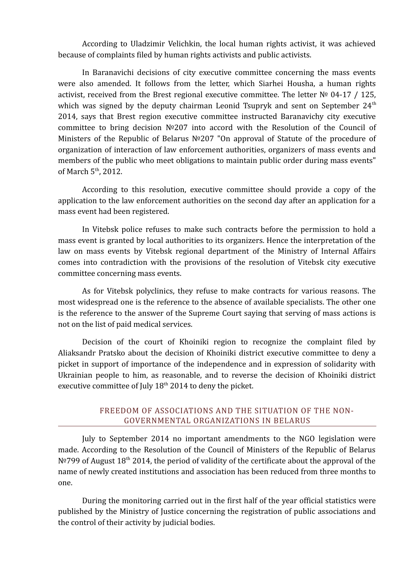According to Uladzimir Velichkin, the local human rights activist, it was achieved because of complaints filed by human rights activists and public activists.

In Baranavichi decisions of city executive committee concerning the mass events were also amended. It follows from the letter, which Siarhei Housha, a human rights activist, received from the Brest regional executive committee. The letter № 04-17 / 125, which was signed by the deputy chairman Leonid Tsupryk and sent on September  $24<sup>th</sup>$ 2014, says that Brest region executive committee instructed Baranavichy city executive committee to bring decision №207 into accord with the Resolution of the Council of Ministers of the Republic of Belarus №207 "On approval of Statute of the procedure of organization of interaction of law enforcement authorities, organizers of mass events and members of the public who meet obligations to maintain public order during mass events" of March  $5<sup>th</sup>$ , 2012.

According to this resolution, executive committee should provide a copy of the application to the law enforcement authorities on the second day after an application for a mass event had been registered.

In Vitebsk police refuses to make such contracts before the permission to hold a mass event is granted by local authorities to its organizers. Hence the interpretation of the law on mass events by Vitebsk regional department of the Ministry of Internal Affairs comes into contradiction with the provisions of the resolution of Vitebsk city executive committee concerning mass events.

As for Vitebsk polyclinics, they refuse to make contracts for various reasons. The most widespread one is the reference to the absence of available specialists. The other one is the reference to the answer of the Supreme Court saying that serving of mass actions is not on the list of paid medical services.

Decision of the court of Khoiniki region to recognize the complaint filed by Aliaksandr Pratsko about the decision of Khoiniki district executive committee to deny a picket in support of importance of the independence and in expression of solidarity with Ukrainian people to him, as reasonable, and to reverse the decision of Khoiniki district executive committee of July  $18<sup>th</sup> 2014$  to deny the picket.

# <span id="page-8-0"></span>FREEDOM OF ASSOCIATIONS AND THE SITUATION OF THE NON-GOVERNMENTAL ORGANIZATIONS IN BELARUS

July to September 2014 no important amendments to the NGO legislation were made. According to the Resolution of the Council of Ministers of the Republic of Belarus  $N^{\circ}$  2014, the period of validity of the certificate about the approval of the name of newly created institutions and association has been reduced from three months to one.

During the monitoring carried out in the first half of the year official statistics were published by the Ministry of Justice concerning the registration of public associations and the control of their activity by judicial bodies.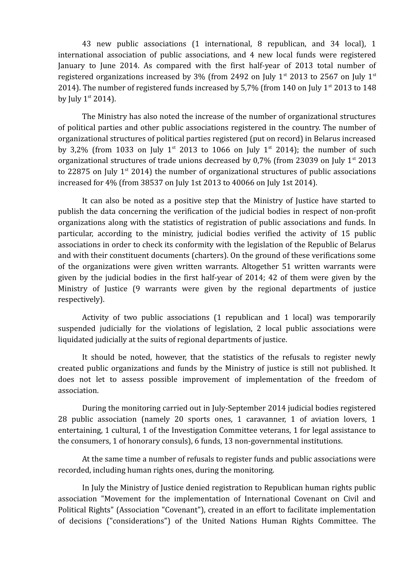43 new public associations (1 international, 8 republican, and 34 local), 1 international association of public associations, and 4 new local funds were registered January to June 2014. As compared with the first half-year of 2013 total number of registered organizations increased by 3% (from 2492 on July  $1^{st}$  2013 to 2567 on July  $1^{st}$ 2014). The number of registered funds increased by 5.7% (from 140 on July  $1^{st}$  2013 to 148 by July  $1<sup>st</sup> 2014$ ).

The Ministry has also noted the increase of the number of organizational structures of political parties and other public associations registered in the country. The number of organizational structures of political parties registered (put on record) in Belarus increased by 3,2% (from 1033 on July 1<sup>st</sup> 2013 to 1066 on July 1<sup>st</sup> 2014); the number of such organizational structures of trade unions decreased by 0.7% (from 23039 on July  $1^{st}$  2013 to 22875 on July  $1<sup>st</sup>$  2014) the number of organizational structures of public associations increased for 4% (from 38537 on July 1st 2013 to 40066 on July 1st 2014).

It can also be noted as a positive step that the Ministry of Justice have started to publish the data concerning the verification of the judicial bodies in respect of non-profit organizations along with the statistics of registration of public associations and funds. In particular, according to the ministry, judicial bodies verified the activity of 15 public associations in order to check its conformity with the legislation of the Republic of Belarus and with their constituent documents (charters). On the ground of these verifications some of the organizations were given written warrants. Altogether 51 written warrants were given by the judicial bodies in the first half-year of 2014; 42 of them were given by the Ministry of Justice (9 warrants were given by the regional departments of justice respectively).

Activity of two public associations (1 republican and 1 local) was temporarily suspended judicially for the violations of legislation, 2 local public associations were liquidated judicially at the suits of regional departments of justice.

It should be noted, however, that the statistics of the refusals to register newly created public organizations and funds by the Ministry of justice is still not published. It does not let to assess possible improvement of implementation of the freedom of association.

During the monitoring carried out in July-September 2014 judicial bodies registered 28 public association (namely 20 sports ones, 1 caravanner, 1 of aviation lovers, 1 entertaining, 1 cultural, 1 of the Investigation Committee veterans, 1 for legal assistance to the consumers, 1 of honorary consuls), 6 funds, 13 non-governmental institutions.

At the same time a number of refusals to register funds and public associations were recorded, including human rights ones, during the monitoring.

In July the Ministry of Justice denied registration to Republican human rights public association "Movement for the implementation of International Covenant on Civil and Political Rights" (Association "Covenant"), created in an effort to facilitate implementation of decisions ("considerations") of the United Nations Human Rights Committee. The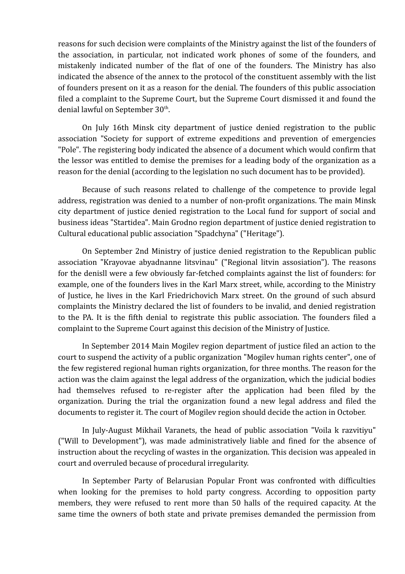reasons for such decision were complaints of the Ministry against the list of the founders of the association, in particular, not indicated work phones of some of the founders, and mistakenly indicated number of the flat of one of the founders. The Ministry has also indicated the absence of the annex to the protocol of the constituent assembly with the list of founders present on it as a reason for the denial. The founders of this public association filed a complaint to the Supreme Court, but the Supreme Court dismissed it and found the denial lawful on September 30<sup>th</sup>.

On July 16th Minsk city department of justice denied registration to the public association "Society for support of extreme expeditions and prevention of emergencies "Pole". The registering body indicated the absence of a document which would confirm that the lessor was entitled to demise the premises for a leading body of the organization as a reason for the denial (according to the legislation no such document has to be provided).

Because of such reasons related to challenge of the competence to provide legal address, registration was denied to a number of non-profit organizations. The main Minsk city department of justice denied registration to the Local fund for support of social and business ideas "Startidea". Main Grodno region department of justice denied registration to Cultural educational public association "Spadchyna" ("Heritage").

On September 2nd Ministry of justice denied registration to the Republican public association "Krayovae abyadnanne litsvinau" ("Regional litvin assosiation"). The reasons for the denisll were a few obviously far-fetched complaints against the list of founders: for example, one of the founders lives in the Karl Marx street, while, according to the Ministry of Justice, he lives in the Karl Friedrichovich Marx street. On the ground of such absurd complaints the Ministry declared the list of founders to be invalid, and denied registration to the PA. It is the fifth denial to registrate this public association. The founders filed a complaint to the Supreme Court against this decision of the Ministry of Justice.

In September 2014 Main Mogilev region department of justice filed an action to the court to suspend the activity of a public organization "Mogilev human rights center", one of the few registered regional human rights organization, for three months. The reason for the action was the claim against the legal address of the organization, which the judicial bodies had themselves refused to re-register after the application had been filed by the organization. During the trial the organization found a new legal address and filed the documents to register it. The court of Mogilev region should decide the action in October.

In July-August Mikhail Varanets, the head of public association "Voila k razvitiyu" ("Will to Development"), was made administratively liable and fined for the absence of instruction about the recycling of wastes in the organization. This decision was appealed in court and overruled because of procedural irregularity.

In September Party of Belarusian Popular Front was confronted with difficulties when looking for the premises to hold party congress. According to opposition party members, they were refused to rent more than 50 halls of the required capacity. At the same time the owners of both state and private premises demanded the permission from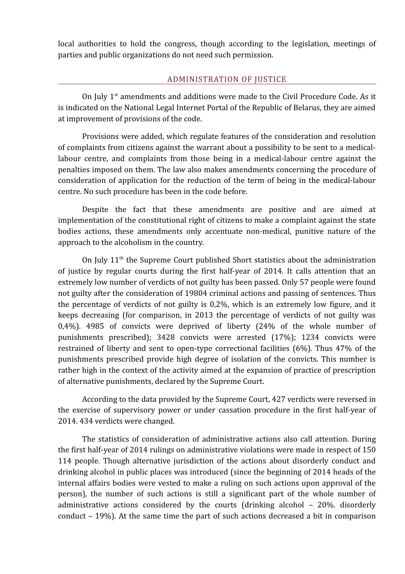local authorities to hold the congress, though according to the legislation, meetings of parties and public organizations do not need such permission.

## <span id="page-11-0"></span>ADMINISTRATION OF JUSTICE

On July  $1<sup>st</sup>$  amendments and additions were made to the Civil Procedure Code. As it is indicated on the National Legal Internet Portal of the Republic of Belarus, they are aimed at improvement of provisions of the code.

Provisions were added, which regulate features of the consideration and resolution of complaints from citizens against the warrant about a possibility to be sent to a medicallabour centre, and complaints from those being in a medical-labour centre against the penalties imposed on them. The law also makes amendments concerning the procedure of consideration of application for the reduction of the term of being in the medical-labour centre. No such procedure has been in the code before.

Despite the fact that these amendments are positive and are aimed at implementation of the constitutional right of citizens to make a complaint against the state bodies actions, these amendments only accentuate non-medical, punitive nature of the approach to the alcoholism in the country.

On July  $11<sup>th</sup>$  the Supreme Court published Short statistics about the administration of justice by regular courts during the first half-year of 2014. It calls attention that an extremely low number of verdicts of not guilty has been passed. Only 57 people were found not guilty after the consideration of 19804 criminal actions and passing of sentences. Thus the percentage of verdicts of not guilty is 0,2%, which is an extremely low figure, and it keeps decreasing (for comparison, in 2013 the percentage of verdicts of not guilty was 0,4%). 4985 of convicts were deprived of liberty (24% of the whole number of punishments prescribed); 3428 convicts were arrested (17%); 1234 convicts were restrained of liberty and sent to open-type correctional facilities (6%). Thus 47% of the punishments prescribed provide high degree of isolation of the convicts. This number is rather high in the context of the activity aimed at the expansion of practice of prescription of alternative punishments, declared by the Supreme Court.

According to the data provided by the Supreme Court, 427 verdicts were reversed in the exercise of supervisory power or under cassation procedure in the first half-year of 2014. 434 verdicts were changed.

The statistics of consideration of administrative actions also call attention. During the first half-year of 2014 rulings on administrative violations were made in respect of 150 114 people. Though alternative jurisdiction of the actions about disorderly conduct and drinking alcohol in public places was introduced (since the beginning of 2014 heads of the internal affairs bodies were vested to make a ruling on such actions upon approval of the person), the number of such actions is still a significant part of the whole number of administrative actions considered by the courts (drinking alcohol – 20%. disorderly conduct – 19%). At the same time the part of such actions decreased a bit in comparison